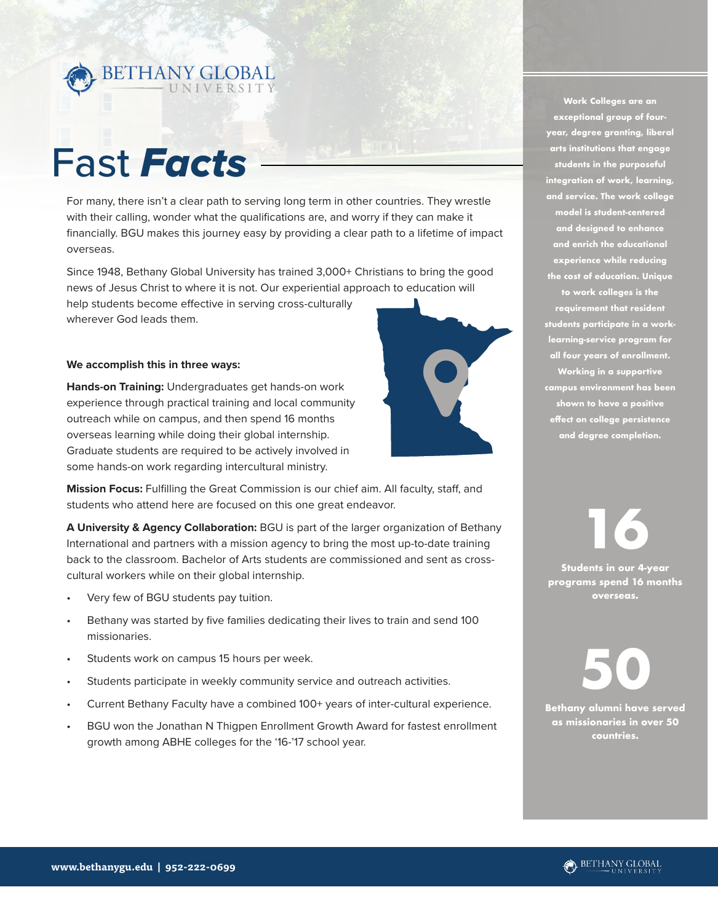

### Fast *Facts*

For many, there isn't a clear path to serving long term in other countries. They wrestle with their calling, wonder what the qualifications are, and worry if they can make it financially. BGU makes this journey easy by providing a clear path to a lifetime of impact overseas.

Since 1948, Bethany Global University has trained 3,000+ Christians to bring the good news of Jesus Christ to where it is not. Our experiential approach to education will help students become effective in serving cross-culturally wherever God leads them.

Q

#### **We accomplish this in three ways:**

**Hands-on Training:** Undergraduates get hands-on work experience through practical training and local community outreach while on campus, and then spend 16 months overseas learning while doing their global internship. Graduate students are required to be actively involved in some hands-on work regarding intercultural ministry.



**A University & Agency Collaboration:** BGU is part of the larger organization of Bethany International and partners with a mission agency to bring the most up-to-date training back to the classroom. Bachelor of Arts students are commissioned and sent as crosscultural workers while on their global internship.

- Very few of BGU students pay tuition.
- Bethany was started by five families dedicating their lives to train and send 100 missionaries.
- Students work on campus 15 hours per week.
- Students participate in weekly community service and outreach activities.
- Current Bethany Faculty have a combined 100+ years of inter-cultural experience.
- BGU won the Jonathan N Thigpen Enrollment Growth Award for fastest enrollment growth among ABHE colleges for the '16-'17 school year.

**Work Colleges are an exceptional group of fouryear, degree granting, liberal arts institutions that engage students in the purposeful integration of work, learning, and service. The work college model is student-centered and designed to enhance and enrich the educational experience while reducing the cost of education. Unique to work colleges is the requirement that resident students participate in a worklearning-service program for all four years of enrollment. Working in a supportive campus environment has been shown to have a positive effect on college persistence and degree completion.**

**16 Students in our 4-year programs spend 16 months overseas.**

**50 Bethany alumni have served** 

**as missionaries in over 50 countries.**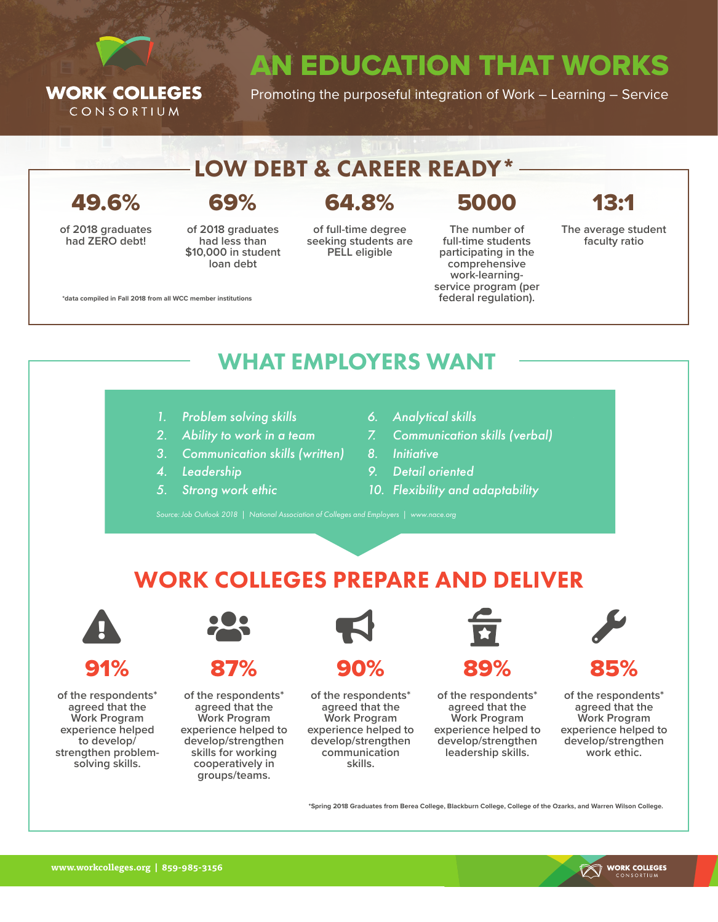

AN EDUCATION THAT WORKS

Promoting the purposeful integration of Work – Learning – Service

#### LOW DEBT & CAREER READY\*

49.6%

**of 2018 graduates had ZERO debt!**

#### 69%

**of 2018 graduates had less than \$10,000 in student loan debt**

#### 64.8%

**of full-time degree seeking students are PELL eligible**

5000 **The number of** 

**full-time students participating in the comprehensive work-learningservice program (per federal regulation).**

13:1

**The average student faculty ratio**

**\*data compiled in Fall 2018 from all WCC member institutions**

#### WHAT EMPLOYERS WANT

- *1. Problem solving skills*
- *2. Ability to work in a team*
- *3. Communication skills (written)*
- *4. Leadership*
- *5. Strong work ethic*
- *6. Analytical skills*
- *7. Communication skills (verbal)*
- *8. Initiative*
- *9. Detail oriented*
- *10. Flexibility and adaptability*

#### WORK COLLEGES PREPARE AND DELIVER



91%

**of the respondents\* agreed that the Work Program experience helped to develop/ strengthen problemsolving skills.**



87%

**of the respondents\* agreed that the Work Program experience helped to develop/strengthen skills for working cooperatively in groups/teams.**



90%

**of the respondents\* agreed that the Work Program experience helped to develop/strengthen communication skills.**



**of the respondents\* agreed that the Work Program experience helped to develop/strengthen leadership skills.**



**of the respondents\* agreed that the Work Program experience helped to develop/strengthen work ethic.**

**\*Spring 2018 Graduates from Berea College, Blackburn College, College of the Ozarks, and Warren Wilson College.**

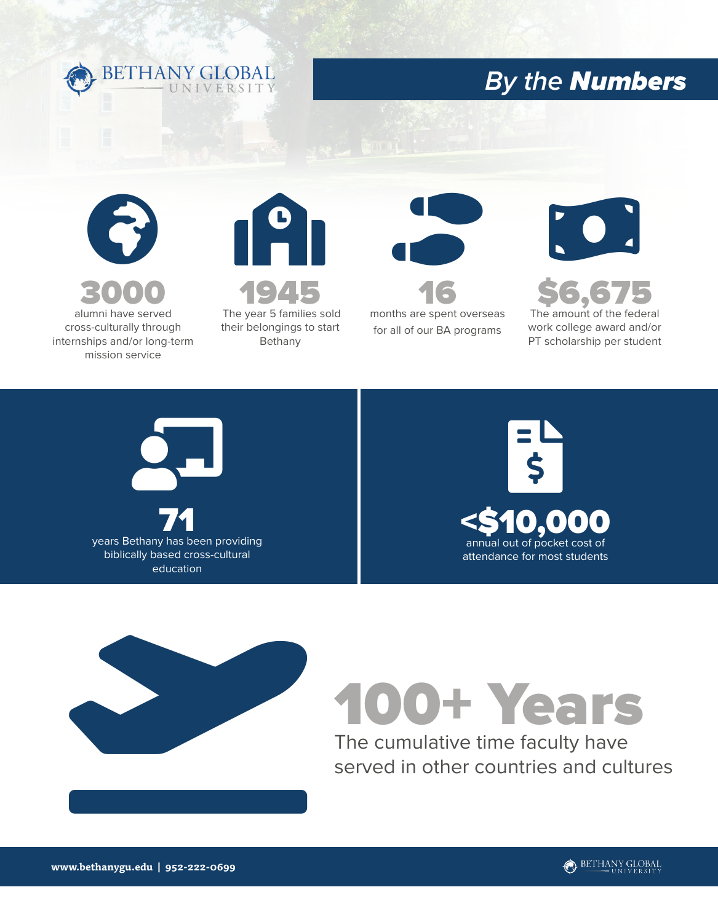

### *By the Numbers*



cross-culturally through internships and/or long-term mission service







**\$6,6** The amount of the federal

work college award and/or PT scholarship per student







## 100+ Years

The cumulative time faculty have served in other countries and cultures